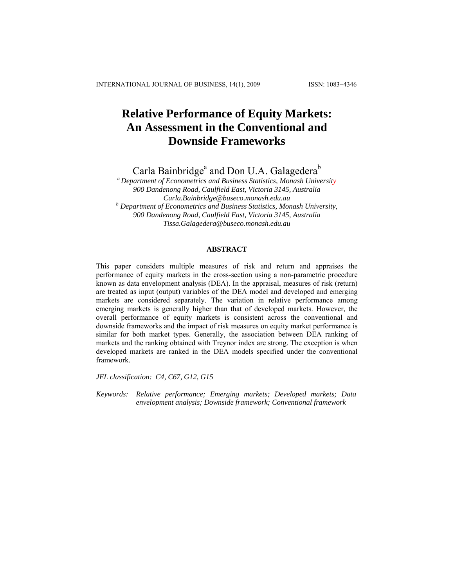# **Relative Performance of Equity Markets: An Assessment in the Conventional and Downside Frameworks**

Carla Bainbridge<sup>a</sup> and Don U.A. Galagedera<sup>b</sup>

*a Department of Econometrics and Business Statistics, Monash University 900 Dandenong Road, Caulfield East, Victoria 3145, Australia Carla.Bainbridge@buseco.monash.edu.au b Department of Econometrics and Business Statistics, Monash University, 900 Dandenong Road, Caulfield East, Victoria 3145, Australia [Tissa.Galagedera@buseco.monash.edu.au](mailto:Tissa.Galagedera@buseco.monash.edu.au)*

# **ABSTRACT**

This paper considers multiple measures of risk and return and appraises the performance of equity markets in the cross-section using a non-parametric procedure known as data envelopment analysis (DEA). In the appraisal, measures of risk (return) are treated as input (output) variables of the DEA model and developed and emerging markets are considered separately. The variation in relative performance among emerging markets is generally higher than that of developed markets. However, the overall performance of equity markets is consistent across the conventional and downside frameworks and the impact of risk measures on equity market performance is similar for both market types. Generally, the association between DEA ranking of markets and the ranking obtained with Treynor index are strong. The exception is when developed markets are ranked in the DEA models specified under the conventional framework.

*JEL classification: C4, C67, G12, G15* 

*Keywords: Relative performance; Emerging markets; Developed markets; Data envelopment analysis; Downside framework; Conventional framework*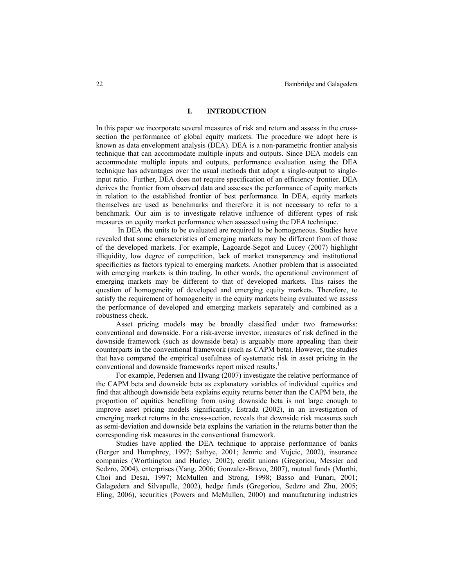## **I. INTRODUCTION**

In this paper we incorporate several measures of risk and return and assess in the crosssection the performance of global equity markets. The procedure we adopt here is known as data envelopment analysis (DEA). DEA is a non-parametric frontier analysis technique that can accommodate multiple inputs and outputs. Since DEA models can accommodate multiple inputs and outputs, performance evaluation using the DEA technique has advantages over the usual methods that adopt a single-output to singleinput ratio. Further, DEA does not require specification of an efficiency frontier. DEA derives the frontier from observed data and assesses the performance of equity markets in relation to the established frontier of best performance. In DEA, equity markets themselves are used as benchmarks and therefore it is not necessary to refer to a benchmark. Our aim is to investigate relative influence of different types of risk measures on equity market performance when assessed using the DEA technique.

 In DEA the units to be evaluated are required to be homogeneous. Studies have revealed that some characteristics of emerging markets may be different from of those of the developed markets. For example, Lagoarde-Segot and Lucey (2007) highlight illiquidity, low degree of competition, lack of market transparency and institutional specificities as factors typical to emerging markets. Another problem that is associated with emerging markets is thin trading. In other words, the operational environment of emerging markets may be different to that of developed markets. This raises the question of homogeneity of developed and emerging equity markets. Therefore, to satisfy the requirement of homogeneity in the equity markets being evaluated we assess the performance of developed and emerging markets separately and combined as a robustness check.

Asset pricing models may be broadly classified under two frameworks: conventional and downside. For a risk-averse investor, measures of risk defined in the downside framework (such as downside beta) is arguably more appealing than their counterparts in the conventional framework (such as CAPM beta). However, the studies that have compared the empirical usefulness of systematic risk in asset pricing in the conventional and downside frameworks report mixed results.<sup>1</sup>

For example, Pedersen and Hwang (2007) investigate the relative performance of the CAPM beta and downside beta as explanatory variables of individual equities and find that although downside beta explains equity returns better than the CAPM beta, the proportion of equities benefiting from using downside beta is not large enough to improve asset pricing models significantly. Estrada (2002), in an investigation of emerging market returns in the cross-section, reveals that downside risk measures such as semi-deviation and downside beta explains the variation in the returns better than the corresponding risk measures in the conventional framework.

Studies have applied the DEA technique to appraise performance of banks (Berger and Humphrey, 1997; Sathye, 2001; Jemric and Vujcic, 2002), insurance companies (Worthington and Hurley, 2002), credit unions (Gregoriou, Messier and Sedzro, 2004), enterprises (Yang, 2006; Gonzalez-Bravo, 2007), mutual funds (Murthi, Choi and Desai, 1997; McMullen and Strong, 1998; Basso and Funari, 2001; Galagedera and Silvapulle, 2002), hedge funds (Gregoriou, Sedzro and Zhu, 2005; Eling, 2006), securities (Powers and McMullen, 2000) and manufacturing industries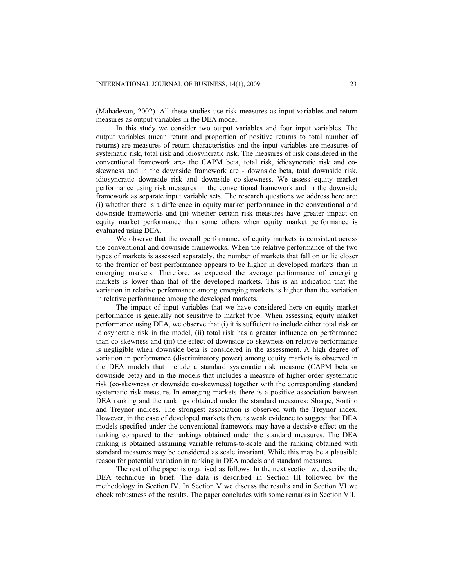(Mahadevan, 2002). All these studies use risk measures as input variables and return measures as output variables in the DEA model.

In this study we consider two output variables and four input variables. The output variables (mean return and proportion of positive returns to total number of returns) are measures of return characteristics and the input variables are measures of systematic risk, total risk and idiosyncratic risk. The measures of risk considered in the conventional framework are- the CAPM beta, total risk, idiosyncratic risk and coskewness and in the downside framework are - downside beta, total downside risk, idiosyncratic downside risk and downside co-skewness. We assess equity market performance using risk measures in the conventional framework and in the downside framework as separate input variable sets. The research questions we address here are: (i) whether there is a difference in equity market performance in the conventional and downside frameworks and (ii) whether certain risk measures have greater impact on equity market performance than some others when equity market performance is evaluated using DEA.

We observe that the overall performance of equity markets is consistent across the conventional and downside frameworks. When the relative performance of the two types of markets is assessed separately, the number of markets that fall on or lie closer to the frontier of best performance appears to be higher in developed markets than in emerging markets. Therefore, as expected the average performance of emerging markets is lower than that of the developed markets. This is an indication that the variation in relative performance among emerging markets is higher than the variation in relative performance among the developed markets.

The impact of input variables that we have considered here on equity market performance is generally not sensitive to market type. When assessing equity market performance using DEA, we observe that (i) it is sufficient to include either total risk or idiosyncratic risk in the model, (ii) total risk has a greater influence on performance than co-skewness and (iii) the effect of downside co-skewness on relative performance is negligible when downside beta is considered in the assessment. A high degree of variation in performance (discriminatory power) among equity markets is observed in the DEA models that include a standard systematic risk measure (CAPM beta or downside beta) and in the models that includes a measure of higher-order systematic risk (co-skewness or downside co-skewness) together with the corresponding standard systematic risk measure. In emerging markets there is a positive association between DEA ranking and the rankings obtained under the standard measures: Sharpe, Sortino and Treynor indices. The strongest association is observed with the Treynor index. However, in the case of developed markets there is weak evidence to suggest that DEA models specified under the conventional framework may have a decisive effect on the ranking compared to the rankings obtained under the standard measures. The DEA ranking is obtained assuming variable returns-to-scale and the ranking obtained with standard measures may be considered as scale invariant. While this may be a plausible reason for potential variation in ranking in DEA models and standard measures.

The rest of the paper is organised as follows. In the next section we describe the DEA technique in brief. The data is described in Section III followed by the methodology in Section IV. In Section V we discuss the results and in Section VI we check robustness of the results. The paper concludes with some remarks in Section VII.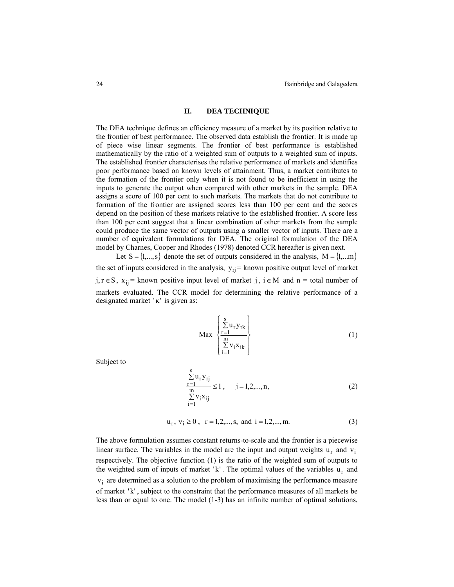## **II. DEA TECHNIQUE**

The DEA technique defines an efficiency measure of a market by its position relative to the frontier of best performance. The observed data establish the frontier. It is made up of piece wise linear segments. The frontier of best performance is established mathematically by the ratio of a weighted sum of outputs to a weighted sum of inputs. The established frontier characterises the relative performance of markets and identifies poor performance based on known levels of attainment. Thus, a market contributes to the formation of the frontier only when it is not found to be inefficient in using the inputs to generate the output when compared with other markets in the sample. DEA assigns a score of 100 per cent to such markets. The markets that do not contribute to formation of the frontier are assigned scores less than 100 per cent and the scores depend on the position of these markets relative to the established frontier. A score less than 100 per cent suggest that a linear combination of other markets from the sample could produce the same vector of outputs using a smaller vector of inputs. There are a number of equivalent formulations for DEA. The original formulation of the DEA model by Charnes, Cooper and Rhodes (1978) denoted CCR hereafter is given next.

Let  $S = \{1,...,s\}$  denote the set of outputs considered in the analysis,  $M = \{1,...m\}$ the set of inputs considered in the analysis,  $y_{rj}$  = known positive output level of market j, r ∈ S,  $x_{ij}$  = known positive input level of market j, i ∈ M and n = total number of markets evaluated. The CCR model for determining the relative performance of a designated market ' $\kappa$ ' is given as:

$$
\operatorname{Max} \left\{ \frac{\sum_{\substack{r=1 \ n \in N}}^s u_r y_{rk}}{\sum_{i=1}^m v_i x_{ik}} \right\} \tag{1}
$$

Subject to

$$
\frac{\sum_{r=1}^{s} u_r y_{rj}}{\sum_{i=1}^{m} v_i x_{ij}} \le 1, \qquad j = 1, 2, ..., n,
$$
\n(2)

$$
u_r, v_i \ge 0
$$
,  $r = 1, 2, ..., s$ , and  $i = 1, 2, ..., m$ . (3)

The above formulation assumes constant returns-to-scale and the frontier is a piecewise linear surface. The variables in the model are the input and output weights  $u_r$  and  $v_i$ respectively. The objective function (1) is the ratio of the weighted sum of outputs to the weighted sum of inputs of market 'k'. The optimal values of the variables  $u_r$  and  $v_i$  are determined as a solution to the problem of maximising the performance measure of market 'k' , subject to the constraint that the performance measures of all markets be less than or equal to one. The model (1-3) has an infinite number of optimal solutions,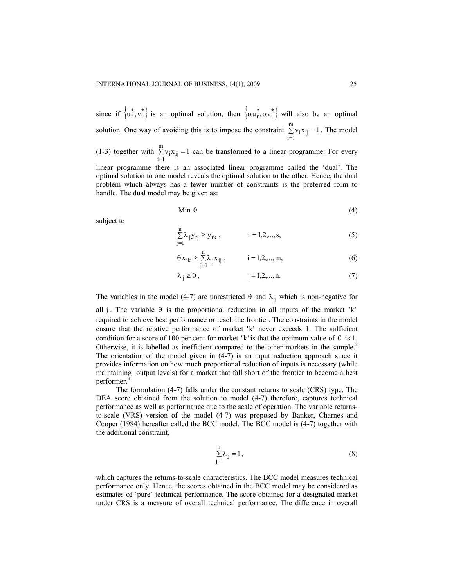since if  $\{u_r^*, v_i^*\}$  is an optimal solution, then  $\{\alpha u_r^*, \alpha v_i^*\}$  will also be an optimal solution. One way of avoiding this is to impose the constraint  $\sum_{i=1}^{m} v_i x_{ii} = 1$ . The model  $\sum_{i=1}$  v<sub>i</sub> x<sub>ij</sub> =

(1-3) together with  $\sum_{i=1}^{m} v_i x_{ii} = 1$  can be transformed to a linear programme. For every  $\sum_{i=1}$   $v_i x_{ij}$  =

linear programme there is an associated linear programme called the 'dual'. The optimal solution to one model reveals the optimal solution to the other. Hence, the dual problem which always has a fewer number of constraints is the preferred form to handle. The dual model may be given as:

$$
\text{Min } \theta \tag{4}
$$

subject to

$$
\sum_{j=1}^{n} \lambda_j y_{rj} \ge y_{rk} , \qquad \qquad r = 1, 2, ..., s,
$$
 (5)

$$
\theta x_{ik} \ge \sum_{j=1}^{n} \lambda_j x_{ij}
$$
,   
  $i = 1, 2, ..., m,$  (6)

$$
\lambda_j \ge 0
$$
,  $j = 1, 2, ..., n$ . (7)

The variables in the model (4-7) are unrestricted  $\theta$  and  $\lambda_i$  which is non-negative for

all j. The variable  $\theta$  is the proportional reduction in all inputs of the market 'k' required to achieve best performance or reach the frontier. The constraints in the model ensure that the relative performance of market 'k' never exceeds 1. The sufficient condition for a score of 100 per cent for market 'k' is that the optimum value of  $\theta$  is 1. Otherwise, it is labelled as inefficient compared to the other markets in the sample.2 The orientation of the model given in (4-7) is an input reduction approach since it provides information on how much proportional reduction of inputs is necessary (while maintaining output levels) for a market that fall short of the frontier to become a best performer.

The formulation (4-7) falls under the constant returns to scale (CRS) type. The DEA score obtained from the solution to model (4-7) therefore, captures technical performance as well as performance due to the scale of operation. The variable returnsto-scale (VRS) version of the model (4-7) was proposed by Banker, Charnes and Cooper (1984) hereafter called the BCC model. The BCC model is (4-7) together with the additional constraint,

$$
\sum_{j=1}^{n} \lambda_j = 1, \qquad (8)
$$

which captures the returns-to-scale characteristics. The BCC model measures technical performance only. Hence, the scores obtained in the BCC model may be considered as estimates of 'pure' technical performance. The score obtained for a designated market under CRS is a measure of overall technical performance. The difference in overall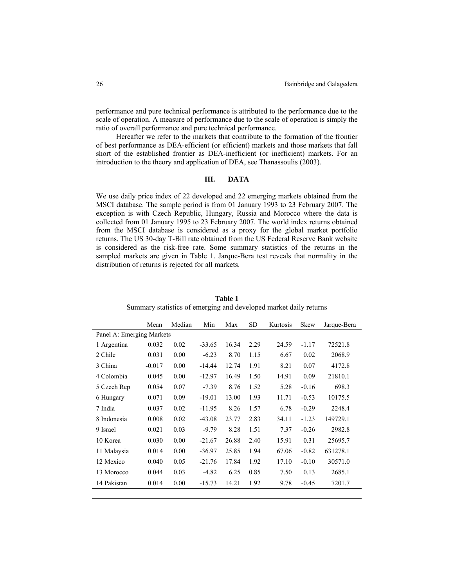performance and pure technical performance is attributed to the performance due to the scale of operation. A measure of performance due to the scale of operation is simply the ratio of overall performance and pure technical performance.

Hereafter we refer to the markets that contribute to the formation of the frontier of best performance as DEA-efficient (or efficient) markets and those markets that fall short of the established frontier as DEA-inefficient (or inefficient) markets. For an introduction to the theory and application of DEA, see Thanassoulis (2003).

# **III. DATA**

We use daily price index of 22 developed and 22 emerging markets obtained from the MSCI database. The sample period is from 01 January 1993 to 23 February 2007. The exception is with Czech Republic, Hungary, Russia and Morocco where the data is collected from 01 January 1995 to 23 February 2007. The world index returns obtained from the MSCI database is considered as a proxy for the global market portfolio returns. The US 30-day T-Bill rate obtained from the US Federal Reserve Bank website is considered as the risk-free rate. Some summary statistics of the returns in the sampled markets are given in Table 1. Jarque-Bera test reveals that normality in the distribution of returns is rejected for all markets.

|                           | Mean     | Median | Min      | Max   | <b>SD</b> | Kurtosis | Skew    | Jarque-Bera |  |  |  |
|---------------------------|----------|--------|----------|-------|-----------|----------|---------|-------------|--|--|--|
| Panel A: Emerging Markets |          |        |          |       |           |          |         |             |  |  |  |
| 1 Argentina               | 0.032    | 0.02   | $-33.65$ | 16.34 | 2.29      | 24.59    | $-1.17$ | 72521.8     |  |  |  |
| 2 Chile                   | 0.031    | 0.00   | $-6.23$  | 8.70  | 1.15      | 6.67     | 0.02    | 2068.9      |  |  |  |
| 3 China                   | $-0.017$ | 0.00   | $-14.44$ | 12.74 | 1.91      | 8.21     | 0.07    | 4172.8      |  |  |  |
| 4 Colombia                | 0.045    | 0.00   | $-12.97$ | 16.49 | 1.50      | 14.91    | 0.09    | 21810.1     |  |  |  |
| 5 Czech Rep               | 0.054    | 0.07   | $-7.39$  | 8.76  | 1.52      | 5.28     | $-0.16$ | 698.3       |  |  |  |
| 6 Hungary                 | 0.071    | 0.09   | $-19.01$ | 13.00 | 1.93      | 11.71    | $-0.53$ | 10175.5     |  |  |  |
| 7 India                   | 0.037    | 0.02   | $-11.95$ | 8.26  | 1.57      | 6.78     | $-0.29$ | 2248.4      |  |  |  |
| 8 Indonesia               | 0.008    | 0.02   | $-43.08$ | 23.77 | 2.83      | 34.11    | $-1.23$ | 149729.1    |  |  |  |
| 9 Israel                  | 0.021    | 0.03   | $-9.79$  | 8.28  | 1.51      | 7.37     | $-0.26$ | 2982.8      |  |  |  |
| 10 Korea                  | 0.030    | 0.00   | $-21.67$ | 26.88 | 2.40      | 15.91    | 0.31    | 25695.7     |  |  |  |
| 11 Malaysia               | 0.014    | 0.00   | $-36.97$ | 25.85 | 1.94      | 67.06    | $-0.82$ | 631278.1    |  |  |  |
| 12 Mexico                 | 0.040    | 0.05   | $-21.76$ | 17.84 | 1.92      | 17.10    | $-0.10$ | 30571.0     |  |  |  |
| 13 Morocco                | 0.044    | 0.03   | $-4.82$  | 6.25  | 0.85      | 7.50     | 0.13    | 2685.1      |  |  |  |
| 14 Pakistan               | 0.014    | 0.00   | $-15.73$ | 14.21 | 1.92      | 9.78     | $-0.45$ | 7201.7      |  |  |  |

**Table 1**  Summary statistics of emerging and developed market daily returns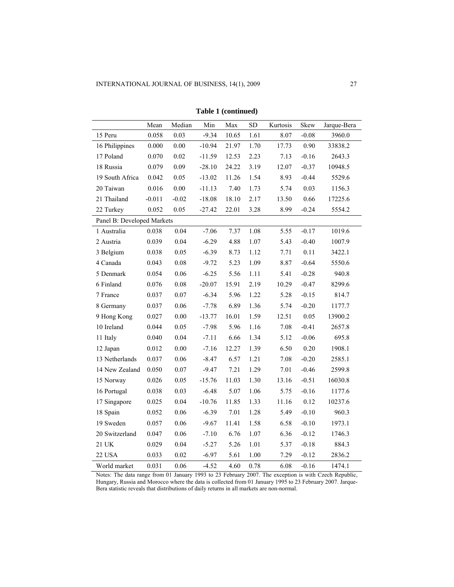|                            | Mean     | Median   | Min      | Max   | SD       | Kurtosis | Skew     | Jarque-Bera |
|----------------------------|----------|----------|----------|-------|----------|----------|----------|-------------|
| 15 Peru                    | 0.058    | 0.03     | $-9.34$  | 10.65 | 1.61     | 8.07     | $-0.08$  | 3960.0      |
| 16 Philippines             | 0.000    | $0.00\,$ | $-10.94$ | 21.97 | 1.70     | 17.73    | 0.90     | 33838.2     |
| 17 Poland                  | 0.070    | $0.02\,$ | $-11.59$ | 12.53 | 2.23     | 7.13     | $-0.16$  | 2643.3      |
| 18 Russia                  | 0.079    | 0.09     | $-28.10$ | 24.22 | 3.19     | 12.07    | $-0.37$  | 10948.5     |
| 19 South Africa            | 0.042    | 0.05     | $-13.02$ | 11.26 | 1.54     | 8.93     | $-0.44$  | 5529.6      |
| 20 Taiwan                  | 0.016    | $0.00\,$ | $-11.13$ | 7.40  | 1.73     | 5.74     | 0.03     | 1156.3      |
| 21 Thailand                | $-0.011$ | $-0.02$  | $-18.08$ | 18.10 | 2.17     | 13.50    | 0.66     | 17225.6     |
| 22 Turkey                  | 0.052    | 0.05     | $-27.42$ | 22.01 | 3.28     | 8.99     | $-0.24$  | 5554.2      |
| Panel B: Developed Markets |          |          |          |       |          |          |          |             |
| 1 Australia                | 0.038    | 0.04     | $-7.06$  | 7.37  | 1.08     | 5.55     | $-0.17$  | 1019.6      |
| 2 Austria                  | 0.039    | 0.04     | $-6.29$  | 4.88  | 1.07     | 5.43     | $-0.40$  | 1007.9      |
| 3 Belgium                  | 0.038    | 0.05     | $-6.39$  | 8.73  | 1.12     | 7.71     | 0.11     | 3422.1      |
| 4 Canada                   | 0.043    | 0.08     | $-9.72$  | 5.23  | 1.09     | 8.87     | $-0.64$  | 5550.6      |
| 5 Denmark                  | 0.054    | 0.06     | $-6.25$  | 5.56  | $1.11\,$ | 5.41     | $-0.28$  | 940.8       |
| 6 Finland                  | 0.076    | $0.08\,$ | $-20.07$ | 15.91 | 2.19     | 10.29    | $-0.47$  | 8299.6      |
| 7 France                   | 0.037    | $0.07\,$ | $-6.34$  | 5.96  | 1.22     | 5.28     | $-0.15$  | 814.7       |
| 8 Germany                  | 0.037    | 0.06     | $-7.78$  | 6.89  | 1.36     | 5.74     | $-0.20$  | 1177.7      |
| 9 Hong Kong                | 0.027    | $0.00\,$ | $-13.77$ | 16.01 | 1.59     | 12.51    | 0.05     | 13900.2     |
| 10 Ireland                 | 0.044    | 0.05     | $-7.98$  | 5.96  | 1.16     | 7.08     | $-0.41$  | 2657.8      |
| 11 Italy                   | 0.040    | 0.04     | $-7.11$  | 6.66  | 1.34     | 5.12     | $-0.06$  | 695.8       |
| 12 Japan                   | 0.012    | 0.00     | $-7.16$  | 12.27 | 1.39     | 6.50     | $0.20\,$ | 1908.1      |
| 13 Netherlands             | 0.037    | 0.06     | $-8.47$  | 6.57  | 1.21     | 7.08     | $-0.20$  | 2585.1      |
| 14 New Zealand             | 0.050    | $0.07\,$ | $-9.47$  | 7.21  | 1.29     | 7.01     | $-0.46$  | 2599.8      |
| 15 Norway                  | 0.026    | 0.05     | $-15.76$ | 11.03 | 1.30     | 13.16    | $-0.51$  | 16030.8     |
| 16 Portugal                | 0.038    | 0.03     | $-6.48$  | 5.07  | 1.06     | 5.75     | $-0.16$  | 1177.6      |
| 17 Singapore               | 0.025    | 0.04     | $-10.76$ | 11.85 | 1.33     | 11.16    | 0.12     | 10237.6     |
| 18 Spain                   | 0.052    | 0.06     | $-6.39$  | 7.01  | 1.28     | 5.49     | $-0.10$  | 960.3       |
| 19 Sweden                  | 0.057    | 0.06     | $-9.67$  | 11.41 | 1.58     | 6.58     | $-0.10$  | 1973.1      |
| 20 Switzerland             | 0.047    | 0.06     | $-7.10$  | 6.76  | 1.07     | 6.36     | $-0.12$  | 1746.3      |
| $21~\mathrm{UK}$           | 0.029    | 0.04     | $-5.27$  | 5.26  | 1.01     | 5.37     | $-0.18$  | 884.3       |
| <b>22 USA</b>              | 0.033    | 0.02     | $-6.97$  | 5.61  | 1.00     | 7.29     | $-0.12$  | 2836.2      |
| World market               | 0.031    | 0.06     | $-4.52$  | 4.60  | 0.78     | 6.08     | $-0.16$  | 1474.1      |

**Table 1 (continued)** 

Notes: The data range from 01 January 1993 to 23 February 2007. The exception is with Czech Republic, Hungary, Russia and Morocco where the data is collected from 01 January 1995 to 23 February 2007. Jarque-Bera statistic reveals that distributions of daily returns in all markets are non-normal.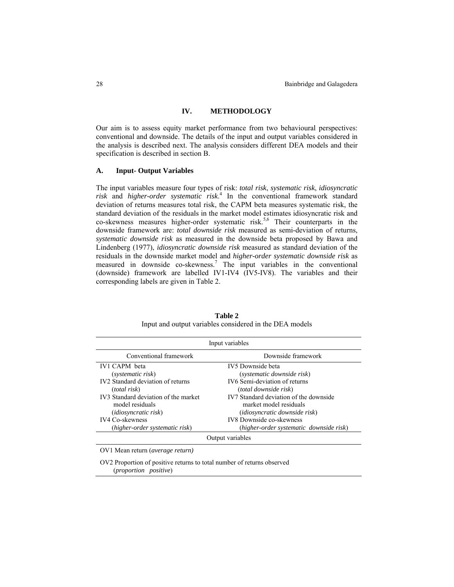## **IV. METHODOLOGY**

Our aim is to assess equity market performance from two behavioural perspectives: conventional and downside. The details of the input and output variables considered in the analysis is described next. The analysis considers different DEA models and their specification is described in section B.

# **A. Input- Output Variables**

The input variables measure four types of risk: *total risk*, *systematic risk*, *idiosyncratic risk* and *higher-order systematic risk*. 4 In the conventional framework standard deviation of returns measures total risk, the CAPM beta measures systematic risk, the standard deviation of the residuals in the market model estimates idiosyncratic risk and co-skewness measures higher-order systematic risk.<sup>5,6</sup> Their counterparts in the downside framework are: *total downside risk* measured as semi-deviation of returns, *systematic downside risk* as measured in the downside beta proposed by Bawa and Lindenberg (1977), *idiosyncratic downside risk* measured as standard deviation of the residuals in the downside market model and *higher-order systematic downside risk* as measured in downside co-skewness.<sup>7</sup> The input variables in the conventional (downside) framework are labelled IV1-IV4 (IV5-IV8). The variables and their corresponding labels are given in Table 2.

| Input variables                               |                                         |  |  |  |  |  |  |
|-----------------------------------------------|-----------------------------------------|--|--|--|--|--|--|
| Conventional framework                        | Downside framework                      |  |  |  |  |  |  |
| <b>IV1 CAPM</b> beta                          | IV5 Downside beta                       |  |  |  |  |  |  |
| (systematic risk)                             | (systematic downside risk)              |  |  |  |  |  |  |
| IV <sub>2</sub> Standard deviation of returns | <b>IV6</b> Semi-deviation of returns    |  |  |  |  |  |  |
| <i>(total risk)</i>                           | <i>(total downside risk)</i>            |  |  |  |  |  |  |
| IV3 Standard deviation of the market          | IV7 Standard deviation of the downside  |  |  |  |  |  |  |
| model residuals                               | market model residuals                  |  |  |  |  |  |  |
| <i>(idiosyncratic risk)</i>                   | <i>(idiosyncratic downside risk)</i>    |  |  |  |  |  |  |
| <b>IV4 Co-skewness</b>                        | <b>IV8</b> Downside co-skewness         |  |  |  |  |  |  |
| (higher-order systematic risk)                | (higher-order systematic downside risk) |  |  |  |  |  |  |
| Output variables                              |                                         |  |  |  |  |  |  |

**Table 2**  Input and output variables considered in the DEA models

OV1 Mean return (*average return)*

OV2 Proportion of positive returns to total number of returns observed (*proportion positive*)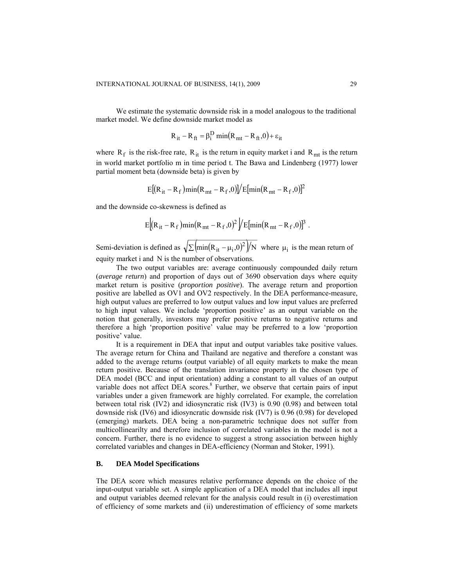We estimate the systematic downside risk in a model analogous to the traditional market model. We define downside market model as

$$
R_{it} - R_{ft} = \beta_i^D \min(R_{mt} - R_{ft}, 0) + \varepsilon_{it}
$$

where  $R_f$  is the risk-free rate,  $R_{it}$  is the return in equity market i and  $R_{mt}$  is the return in world market portfolio m in time period t. The Bawa and Lindenberg (1977) lower partial moment beta (downside beta) is given by

$$
E[(R_{it} - R_f)min(R_{mt} - R_f, 0)]/E[min(R_{mt} - R_f, 0)]^2
$$

and the downside co-skewness is defined as

$$
E[(R_{it}-R_f)\min(R_{mt}-R_f,0)^2]/E[\min(R_{mt}-R_f,0)]^3.
$$

Semi-deviation is defined as  $\sqrt{\sum_{i=1}^{\infty} (n^2 - \mu_i^2 \cdot \omega^2)/N}$  where  $\mu_i$  is the mean return of equity market i and N is the number of observations.

The two output variables are: average continuously compounded daily return (*average return*) and proportion of days out of 3690 observation days where equity market return is positive (*proportion positive*). The average return and proportion positive are labelled as OV1 and OV2 respectively. In the DEA performance-measure, high output values are preferred to low output values and low input values are preferred to high input values. We include 'proportion positive' as an output variable on the notion that generally, investors may prefer positive returns to negative returns and therefore a high 'proportion positive' value may be preferred to a low 'proportion positive' value.

It is a requirement in DEA that input and output variables take positive values. The average return for China and Thailand are negative and therefore a constant was added to the average returns (output variable) of all equity markets to make the mean return positive. Because of the translation invariance property in the chosen type of DEA model (BCC and input orientation) adding a constant to all values of an output variable does not affect DEA scores.<sup>8</sup> Further, we observe that certain pairs of input variables under a given framework are highly correlated. For example, the correlation between total risk (IV2) and idiosyncratic risk (IV3) is 0.90 (0.98) and between total downside risk (IV6) and idiosyncratic downside risk (IV7) is 0.96 (0.98) for developed (emerging) markets. DEA being a non-parametric technique does not suffer from multicollinearilty and therefore inclusion of correlated variables in the model is not a concern. Further, there is no evidence to suggest a strong association between highly correlated variables and changes in DEA-efficiency (Norman and Stoker, 1991).

## **B. DEA Model Specifications**

The DEA score which measures relative performance depends on the choice of the input-output variable set. A simple application of a DEA model that includes all input and output variables deemed relevant for the analysis could result in (i) overestimation of efficiency of some markets and (ii) underestimation of efficiency of some markets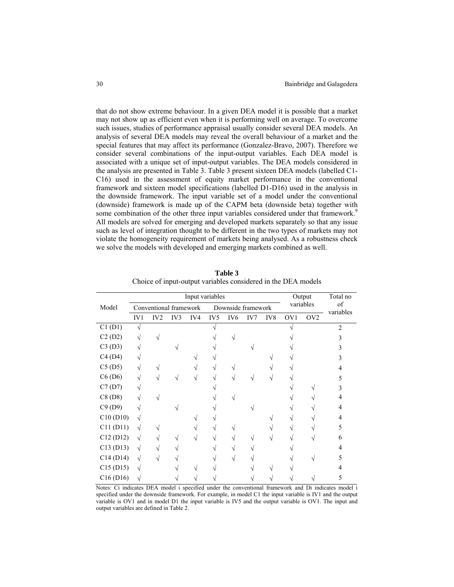that do not show extreme behaviour. In a given DEA model it is possible that a market may not show up as efficient even when it is performing well on average. To overcome such issues, studies of performance appraisal usually consider several DEA models. An analysis of several DEA models may reveal the overall behaviour of a market and the special features that may affect its performance (Gonzalez-Bravo, 2007). Therefore we consider several combinations of the input-output variables. Each DEA model is associated with a unique set of input-output variables. The DEA models considered in the analysis are presented in Table 3. Table 3 present sixteen DEA models (labelled C1- C16) used in the assessment of equity market performance in the conventional framework and sixteen model specifications (labelled D1-D16) used in the analysis in the downside framework. The input variable set of a model under the conventional (downside) framework is made up of the CAPM beta (downside beta) together with some combination of the other three input variables considered under that framework.<sup>9</sup> All models are solved for emerging and developed markets separately so that any issue such as level of integration thought to be different in the two types of markets may not violate the homogeneity requirement of markets being analysed. As a robustness check we solve the models with developed and emerging markets combined as well.

|                                    | Input variables |                        |     |     |                 |                    |     |     |                 |                 | Total no        |  |
|------------------------------------|-----------------|------------------------|-----|-----|-----------------|--------------------|-----|-----|-----------------|-----------------|-----------------|--|
| Model                              |                 | Conventional framework |     |     |                 | Downside framework |     |     | variables       |                 | of<br>variables |  |
|                                    | IV1             | IV <sub>2</sub>        | IV3 | IV4 | IV <sub>5</sub> | IV <sub>6</sub>    | IV7 | IV8 | OV <sub>1</sub> | OV <sub>2</sub> |                 |  |
| C1(D1)                             | ٦l              |                        |     |     |                 |                    |     |     |                 |                 | $\mathfrak{D}$  |  |
| C2(D2)                             |                 |                        |     |     |                 |                    |     |     |                 |                 |                 |  |
| C3(D3)                             |                 |                        |     |     |                 |                    |     |     |                 |                 |                 |  |
| C4(D4)                             |                 |                        |     |     |                 |                    |     |     |                 |                 |                 |  |
| C5(D5)                             |                 |                        |     |     |                 |                    |     |     |                 |                 |                 |  |
| C6(D6)                             |                 |                        |     |     |                 |                    |     |     |                 |                 | ,               |  |
| C7(D7)                             |                 |                        |     |     |                 |                    |     |     |                 |                 |                 |  |
| C8(D8)                             |                 |                        |     |     |                 |                    |     |     |                 |                 |                 |  |
| C9(D9)                             |                 |                        |     |     |                 |                    |     |     |                 |                 | 4               |  |
| C10(D10)                           | V               |                        |     |     |                 |                    |     |     |                 |                 | 4               |  |
| C11 (D11)                          | $\sqrt{}$       |                        |     |     |                 |                    |     |     |                 |                 | 5               |  |
| C12 (D12)                          | $\sqrt{2}$      |                        |     |     |                 |                    |     |     |                 |                 | 6               |  |
| C13(D13)                           | $\sqrt{ }$      |                        |     |     |                 |                    |     |     |                 |                 |                 |  |
| C14(D14)                           | $\sqrt{ }$      |                        |     |     |                 |                    |     |     |                 |                 |                 |  |
| C15(D15)                           | $\sqrt{}$       |                        |     |     |                 |                    |     |     |                 |                 |                 |  |
| C <sub>16</sub> (D <sub>16</sub> ) | V               |                        |     |     |                 |                    |     |     |                 |                 |                 |  |
|                                    |                 |                        |     |     |                 |                    |     |     |                 |                 |                 |  |

**Table 3**  Choice of input-output variables considered in the DEA models

Notes: Ci indicates DEA model i specified under the conventional framework and Di indicates model i specified under the downside framework. For example, in model C1 the input variable is IV1 and the output variable is OV1 and in model D1 the input variable is IV5 and the output variable is OV1. The input and output variables are defined in Table 2.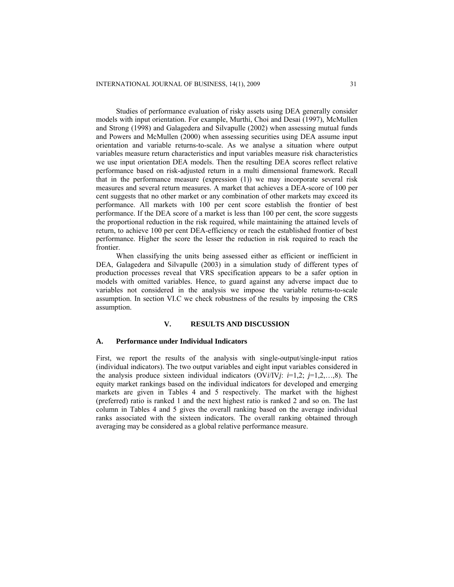Studies of performance evaluation of risky assets using DEA generally consider models with input orientation. For example, Murthi, Choi and Desai (1997), McMullen and Strong (1998) and Galagedera and Silvapulle (2002) when assessing mutual funds and Powers and McMullen (2000) when assessing securities using DEA assume input orientation and variable returns-to-scale. As we analyse a situation where output variables measure return characteristics and input variables measure risk characteristics we use input orientation DEA models. Then the resulting DEA scores reflect relative performance based on risk-adjusted return in a multi dimensional framework. Recall that in the performance measure (expression (1)) we may incorporate several risk measures and several return measures. A market that achieves a DEA-score of 100 per cent suggests that no other market or any combination of other markets may exceed its performance. All markets with 100 per cent score establish the frontier of best performance. If the DEA score of a market is less than 100 per cent, the score suggests the proportional reduction in the risk required, while maintaining the attained levels of return, to achieve 100 per cent DEA-efficiency or reach the established frontier of best performance. Higher the score the lesser the reduction in risk required to reach the frontier.

When classifying the units being assessed either as efficient or inefficient in DEA, Galagedera and Silvapulle (2003) in a simulation study of different types of production processes reveal that VRS specification appears to be a safer option in models with omitted variables. Hence, to guard against any adverse impact due to variables not considered in the analysis we impose the variable returns-to-scale assumption. In section VI.C we check robustness of the results by imposing the CRS assumption.

# **V. RESULTS AND DISCUSSION**

## **A. Performance under Individual Indicators**

First, we report the results of the analysis with single-output/single-input ratios (individual indicators). The two output variables and eight input variables considered in the analysis produce sixteen individual indicators (OV*i*/IV*j*: *i*=1,2; *j*=1,2,…,8). The equity market rankings based on the individual indicators for developed and emerging markets are given in Tables 4 and 5 respectively. The market with the highest (preferred) ratio is ranked 1 and the next highest ratio is ranked 2 and so on. The last column in Tables 4 and 5 gives the overall ranking based on the average individual ranks associated with the sixteen indicators. The overall ranking obtained through averaging may be considered as a global relative performance measure.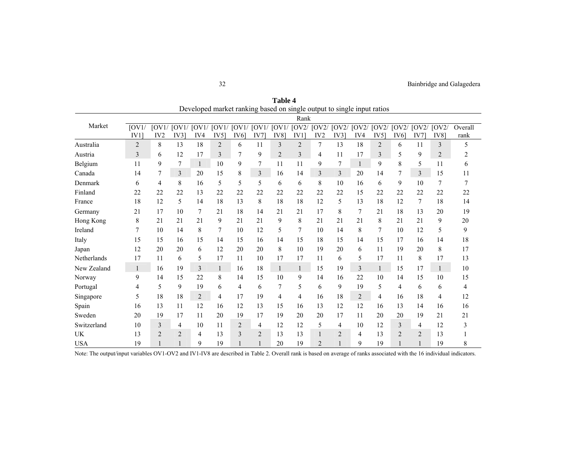Rank Market  $\overline{[OVI]}$ IV1] [OV1/ [OV1/ [OV1/ [OV1/ [OV1/ [OV1/ [OV2/ [OV2/ [OV2/ [OV2/ [OV2/ [OV2/ [OV2/ [OV2/ [OV2/ IV2 IV3] IV4 IV5] IV6] IV7] IV8] IV1] IV2 IV3] IV4 IV5] IV6] IV7] IV8] **Overall** rank Australia 2 8 13 18 2 6 11 3 2 7 13 18 2 6 11 3 5  $\sqrt{5}$ Austria 3 6 12 17 3 7 9 2 3 4 11 17 3 5 9 2 2  $\overline{2}$ Belgium 11 9 7 1 10 9 7 11 11 9 7 1 9 8 5 11 6 Canada 14 7 3 20 15 8 3 16 14 3 3 20 14 7 3 15 11 Denmark 6 4 8 16 5 5 5 6 6 8 10 16 6 9 10 7 7 Finland 22 22 22 13 22 22 22 22 22 22 22 15 22 22 22 22 22 France 18 12 5 14 18 13 8 18 18 12 5 13 18 12 7 18 14 Germany 21 17 10 7 21 18 14 21 21 17 8 7 21 18 13 20 19 Hong Kong 8 21 21 21 9 21 21 9 8 21 21 21 8 21 21 9 20 Ireland 7 10 14 8 7 10 12 5 7 10 14 8 7 10 12 5 9 Italy 15 15 16 15 14 15 16 14 15 18 15 14 15 17 16 14 18 Japan 12 20 20 6 12 20 20 8 10 19 20 6 11 19 20 8 17 Netherlands 17 11 6 5 17 11 10 17 17 11 6 5 17 11 8 17 13 New Zealand 1 16 19 3 1 16 18 1 1 15 19 3 1 15 17 1 10 10 Norway 9 14 15 22 8 14 15 10 9 14 16 22 10 14 15 10 15 Portugal 4 5 9 19 6 4 6 7 5 6 9 19 5 4 6 6 4 Singapore 5 18 18 2 4 17 19 4 4 16 18 2 4 16 18 4 12 Spain 16 13 11 12 16 12 13 15 16 13 12 12 16 13 14 16 16 Sweden 20 19 17 11 20 19 17 19 20 20 17 11 20 20 19 21 21 Switzerland 10 3 4 10 11 2 4 12 12 5 4 10 12 3 4 12 3  $\mathfrak{Z}$ UK 13 2 2 4 13 3 2 13 13 1 2 4 13 2 2 13 1 USA 19 1 1 9 19 1 1 20 19 2 1 9 19 1 1 19 8 8

**Table 4** Developed market ranking based on single output to single input ratios

Note: The output/input variables OV1-OV2 and IV1-IV8 are described in Table 2. Overall rank is based on average of ranks associated with the 16 individual indicators.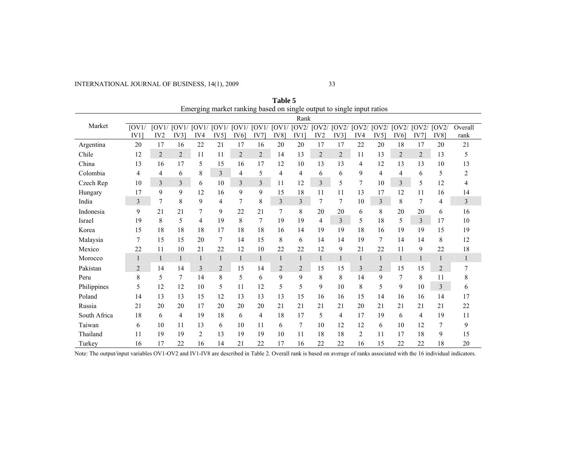INTERNATIONAL JOURNAL OF BUSINESS, 14(1), 2009

| Emerging market ranking based on single output to single input ratios |            |                 |                 |                |                |                 |                |              |                |                 |                |                |                |                |                |                                                                                     |                |
|-----------------------------------------------------------------------|------------|-----------------|-----------------|----------------|----------------|-----------------|----------------|--------------|----------------|-----------------|----------------|----------------|----------------|----------------|----------------|-------------------------------------------------------------------------------------|----------------|
|                                                                       |            |                 |                 |                |                |                 |                |              | Rank           |                 |                |                |                |                |                |                                                                                     |                |
| Market                                                                | [OVI/      |                 | $[OVI/$ $[OVI/$ |                |                |                 |                |              |                |                 |                |                |                |                |                | [OV1/ [OV1/ [OV1/ [OV1/ [OV1/ [OV2/ [OV2/ [OV2/ [OV2/ [OV2/ [OV2/ [OV2/ [OV2/ [OV2/ | Overall        |
|                                                                       | $IV1$ ]    | IV <sub>2</sub> | IV3             | IV4            | IV5            | IV <sub>6</sub> | <b>IV71</b>    | IV8]         | IV1            | IV <sub>2</sub> | IV31           | IV4            | IV5            | IV6            | <b>IV71</b>    | <b>IV8</b>                                                                          | rank           |
| Argentina                                                             | 20         | 17              | 16              | 22             | 21             | 17              | 16             | 20           | 20             | 17              | 17             | 22             | 20             | 18             | 17             | 20                                                                                  | 21             |
| Chile                                                                 | 12         | $\overline{2}$  | $\overline{2}$  | 11             | 11             | $\overline{2}$  | $\overline{c}$ | 14           | 13             | 2               | $\overline{2}$ | 11             | 13             | $\overline{2}$ | $\overline{2}$ | 13                                                                                  | 5              |
| China                                                                 | 13         | 16              | 17              | 5              | 15             | 16              | 17             | 12           | 10             | 13              | 13             | 4              | 12             | 13             | 13             | 10                                                                                  | 13             |
| Colombia                                                              | 4          | 4               | 6               | 8              | $\overline{3}$ | 4               | 5              | 4            | 4              | 6               | 6              | 9              | 4              | $\overline{4}$ | 6              | 5                                                                                   | 2              |
| Czech Rep                                                             | 10         | 3               | 3               | 6              | 10             | 3               | $\overline{3}$ | 11           | 12             | 3               | 5              | 7              | 10             | 3              | 5              | 12                                                                                  | 4              |
| Hungary                                                               | 17         | 9               | 9               | 12             | 16             | 9               | 9              | 15           | 18             | 11              | 11             | 13             | 17             | 12             | 11             | 16                                                                                  | 14             |
| India                                                                 | 3          | 7               | 8               | 9              | 4              | 7               | 8              | 3            | 3              | 7               | 7              | 10             | $\mathfrak{Z}$ | 8              | 7              | 4                                                                                   | $\mathfrak{Z}$ |
| Indonesia                                                             | 9          | 21              | 21              | 7              | 9              | 22              | 21             | 7            | 8              | 20              | 20             | 6              | 8              | 20             | 20             | 6                                                                                   | 16             |
| Israel                                                                | 19         | 8               | 5               | 4              | 19             | 8               | $\tau$         | 19           | 19             | 4               | $\overline{3}$ | 5              | 18             | 5              | 3              | 17                                                                                  | 10             |
| Korea                                                                 | 15         | 18              | 18              | 18             | 17             | 18              | 18             | 16           | 14             | 19              | 19             | 18             | 16             | 19             | 19             | 15                                                                                  | 19             |
| Malaysia                                                              | 7          | 15              | 15              | 20             | 7              | 14              | 15             | 8            | 6              | 14              | 14             | 19             | 7              | 14             | 14             | 8                                                                                   | 12             |
| Mexico                                                                | 22         | 11              | 10              | 21             | 22             | 12              | 10             | 22           | 22             | 12              | 9              | 21             | 22             | 11             | 9              | 22                                                                                  | 18             |
| Morocco                                                               | 1          | $\mathbf{1}$    | $\mathbf{1}$    | $\mathbf{1}$   | 1              | $\mathbf{1}$    | $\mathbf{1}$   | $\mathbf{1}$ | $\mathbf{1}$   | $\mathbf{1}$    | $\mathbf{1}$   | 1              | $\mathbf{1}$   | $\mathbf{1}$   | 1              | $\mathbf{1}$                                                                        | $\mathbf{1}$   |
| Pakistan                                                              | $\sqrt{2}$ | 14              | 14              | 3              | $\overline{2}$ | 15              | 14             | $\sqrt{2}$   | $\overline{2}$ | 15              | 15             | 3              | $\overline{2}$ | 15             | 15             | $\overline{2}$                                                                      | $\tau$         |
| Peru                                                                  | 8          | 5               | $\overline{7}$  | 14             | 8              | 5               | 6              | 9            | 9              | 8               | 8              | 14             | 9              | 7              | 8              | 11                                                                                  | 8              |
| Philippines                                                           | 5          | 12              | 12              | 10             | 5              | 11              | 12             | 5            | 5              | 9               | 10             | 8              | 5              | 9              | 10             | $\overline{3}$                                                                      | 6              |
| Poland                                                                | 14         | 13              | 13              | 15             | 12             | 13              | 13             | 13           | 15             | 16              | 16             | 15             | 14             | 16             | 16             | 14                                                                                  | 17             |
| Russia                                                                | 21         | 20              | 20              | 17             | 20             | 20              | 20             | 21           | 21             | 21              | 21             | 20             | 21             | 21             | 21             | 21                                                                                  | 22             |
| South Africa                                                          | 18         | 6               | $\overline{4}$  | 19             | 18             | 6               | 4              | 18           | 17             | 5               | 4              | 17             | 19             | 6              | 4              | 19                                                                                  | 11             |
| Taiwan                                                                | 6          | 10              | 11              | 13             | 6              | 10              | 11             | 6            | 7              | 10              | 12             | 12             | 6              | 10             | 12             | $\overline{7}$                                                                      | 9              |
| Thailand                                                              | 11         | 19              | 19              | $\overline{2}$ | 13             | 19              | 19             | 10           | 11             | 18              | 18             | $\overline{c}$ | 11             | 17             | 18             | 9                                                                                   | 15             |
| Turkey                                                                | 16         | 17              | 22              | 16             | 14             | 21              | 22             | 17           | 16             | 22              | 22             | 16             | 15             | 22             | 22             | 18                                                                                  | 20             |

**Table 5** 

Note: The output/input variables OV1-OV2 and IV1-IV8 are described in Table 2. Overall rank is based on average of ranks associated with the 16 individual indicators.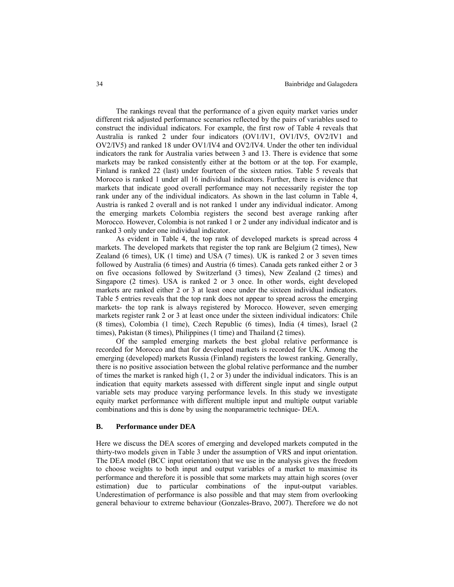The rankings reveal that the performance of a given equity market varies under different risk adjusted performance scenarios reflected by the pairs of variables used to construct the individual indicators. For example, the first row of Table 4 reveals that Australia is ranked 2 under four indicators (OV1/IV1, OV1/IV5, OV2/IV1 and OV2/IV5) and ranked 18 under OV1/IV4 and OV2/IV4. Under the other ten individual indicators the rank for Australia varies between 3 and 13. There is evidence that some markets may be ranked consistently either at the bottom or at the top. For example, Finland is ranked 22 (last) under fourteen of the sixteen ratios. Table 5 reveals that Morocco is ranked 1 under all 16 individual indicators. Further, there is evidence that markets that indicate good overall performance may not necessarily register the top rank under any of the individual indicators. As shown in the last column in Table 4, Austria is ranked 2 overall and is not ranked 1 under any individual indicator. Among the emerging markets Colombia registers the second best average ranking after Morocco. However, Colombia is not ranked 1 or 2 under any individual indicator and is ranked 3 only under one individual indicator.

As evident in Table 4, the top rank of developed markets is spread across 4 markets. The developed markets that register the top rank are Belgium (2 times), New Zealand (6 times), UK (1 time) and USA (7 times). UK is ranked 2 or 3 seven times followed by Australia (6 times) and Austria (6 times). Canada gets ranked either 2 or 3 on five occasions followed by Switzerland (3 times), New Zealand (2 times) and Singapore (2 times). USA is ranked 2 or 3 once. In other words, eight developed markets are ranked either 2 or 3 at least once under the sixteen individual indicators. Table 5 entries reveals that the top rank does not appear to spread across the emerging markets- the top rank is always registered by Morocco. However, seven emerging markets register rank 2 or 3 at least once under the sixteen individual indicators: Chile (8 times), Colombia (1 time), Czech Republic (6 times), India (4 times), Israel (2 times), Pakistan (8 times), Philippines (1 time) and Thailand (2 times).

Of the sampled emerging markets the best global relative performance is recorded for Morocco and that for developed markets is recorded for UK. Among the emerging (developed) markets Russia (Finland) registers the lowest ranking. Generally, there is no positive association between the global relative performance and the number of times the market is ranked high  $(1, 2 \text{ or } 3)$  under the individual indicators. This is an indication that equity markets assessed with different single input and single output variable sets may produce varying performance levels. In this study we investigate equity market performance with different multiple input and multiple output variable combinations and this is done by using the nonparametric technique- DEA.

#### **B. Performance under DEA**

Here we discuss the DEA scores of emerging and developed markets computed in the thirty-two models given in Table 3 under the assumption of VRS and input orientation. The DEA model (BCC input orientation) that we use in the analysis gives the freedom to choose weights to both input and output variables of a market to maximise its performance and therefore it is possible that some markets may attain high scores (over estimation) due to particular combinations of the input-output variables. Underestimation of performance is also possible and that may stem from overlooking general behaviour to extreme behaviour (Gonzales-Bravo, 2007). Therefore we do not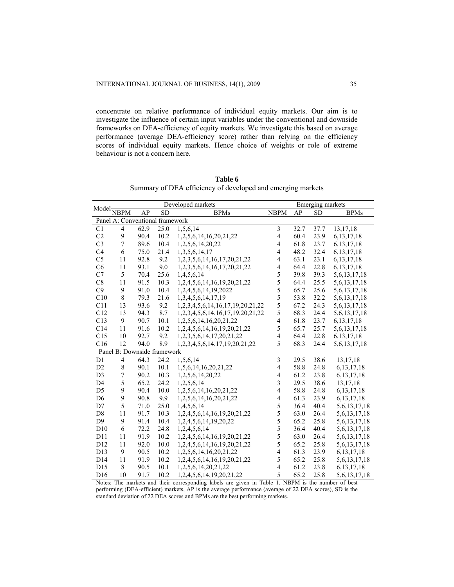concentrate on relative performance of individual equity markets. Our aim is to investigate the influence of certain input variables under the conventional and downside frameworks on DEA-efficiency of equity markets. We investigate this based on average performance (average DEA-efficiency score) rather than relying on the efficiency scores of individual equity markets. Hence choice of weights or role of extreme behaviour is not a concern here.

| Table 6                                                     |
|-------------------------------------------------------------|
| Summary of DEA efficiency of developed and emerging markets |

|                                                                                   |                          |                                 | Developed markets | Emerging markets                             |                         |      |           |                  |
|-----------------------------------------------------------------------------------|--------------------------|---------------------------------|-------------------|----------------------------------------------|-------------------------|------|-----------|------------------|
| $Model \frac{\overline{N} \times \overline{N}}{\overline{N} \times \overline{N}}$ |                          | $\overline{AP}$                 | <b>SD</b>         | <b>BPMs</b>                                  | <b>NBPM</b>             | AP   | <b>SD</b> | <b>BPMs</b>      |
|                                                                                   |                          | Panel A: Conventional framework |                   |                                              |                         |      |           |                  |
| C <sub>1</sub>                                                                    | $\overline{4}$           | 62.9                            | 25.0              | 1,5,6,14                                     | $\overline{\mathbf{3}}$ | 32.7 | 37.7      | 13,17,18         |
| C <sub>2</sub>                                                                    | 9                        | 90.4                            | 10.2              | 1,2,5,6,14,16,20,21,22                       | $\overline{4}$          | 60.4 | 23.9      | 6, 13, 17, 18    |
| C <sub>3</sub>                                                                    | $\boldsymbol{7}$         | 89.6                            | 10.4              | 1,2,5,6,14,20,22                             | $\overline{4}$          | 61.8 | 23.7      | 6, 13, 17, 18    |
| C4                                                                                | 6                        | 75.0                            | 21.4              | 1,3,5,6,14,17                                | $\overline{4}$          | 48.2 | 32.4      | 6, 13, 17, 18    |
| C <sub>5</sub>                                                                    | 11                       | 92.8                            | 9.2               | 1,2,3,5,6,14,16,17,20,21,22                  | $\overline{\mathbf{4}}$ | 63.1 | 23.1      | 6, 13, 17, 18    |
| C6                                                                                | 11                       | 93.1                            | 9.0               | 1, 2, 3, 5, 6, 14, 16, 17, 20, 21, 22        | $\overline{\mathbf{4}}$ | 64.4 | 22.8      | 6, 13, 17, 18    |
| $\rm C7$                                                                          | 5                        | 70.4                            | 25.6              | 1,4,5,6,14                                   | 5                       | 39.8 | 39.3      | 5, 6, 13, 17, 18 |
| $\mbox{C}8$                                                                       | 11                       | 91.5                            | 10.3              | 1,2,4,5,6,14,16,19,20,21,22                  | 5                       | 64.4 | 25.5      | 5, 6, 13, 17, 18 |
| C9                                                                                | 9                        | 91.0                            | 10.4              | 1,2,4,5,6,14,19,2022                         | 5                       | 65.7 | 25.6      | 5, 6, 13, 17, 18 |
| C10                                                                               | 8                        | 79.3                            | 21.6              | 1,3,4,5,6,14,17,19                           | 5                       | 53.8 | 32.2      | 5, 6, 13, 17, 18 |
| C11                                                                               | 13                       | 93.6                            | 9.2               | 1, 2, 3, 4, 5, 6, 14, 16, 17, 19, 20, 21, 22 | 5                       | 67.2 | 24.3      | 5, 6, 13, 17, 18 |
| C12                                                                               | 13                       | 94.3                            | 8.7               | 1,2,3,4,5,6,14,16,17,19,20,21,22             | 5                       | 68.3 | 24.4      | 5, 6, 13, 17, 18 |
| C13                                                                               | 9                        | 90.7                            | 10.1              | 1,2,5,6,14,16,20,21,22                       | $\overline{\mathbf{4}}$ | 61.8 | 23.7      | 6, 13, 17, 18    |
| C14                                                                               | 11                       | 91.6                            | 10.2              | 1,2,4,5,6,14,16,19,20,21,22                  | 5                       | 65.7 | 25.7      | 5, 6, 13, 17, 18 |
| C15                                                                               | 10                       | 92.7                            | 9.2               | 1,2,3,5,6,14,17,20,21,22                     | $\overline{4}$          | 64.4 | 22.8      | 6, 13, 17, 18    |
| C16                                                                               | 12                       | 94.0                            | 8.9               | 1,2,3,4,5,6,14,17,19,20,21,22                | 5                       | 68.3 | 24.4      | 5, 6, 13, 17, 18 |
| Panel B: Downside framework                                                       |                          |                                 |                   |                                              |                         |      |           |                  |
| D1                                                                                | $\overline{\mathcal{L}}$ | 64.3                            | 24.2              | 1,5,6,14                                     | 3                       | 29.5 | 38.6      | 13,17,18         |
| D2                                                                                | 8                        | 90.1                            | 10.1              | 1,5,6,14,16,20,21,22                         | $\overline{\mathbf{4}}$ | 58.8 | 24.8      | 6, 13, 17, 18    |
| D <sub>3</sub>                                                                    | $\sqrt{ }$               | 90.2                            | 10.3              | 1,2,5,6,14,20,22                             | $\overline{4}$          | 61.2 | 23.8      | 6, 13, 17, 18    |
| D <sub>4</sub>                                                                    | 5                        | 65.2                            | 24.2              | 1,2,5,6,14                                   | $\overline{3}$          | 29.5 | 38.6      | 13, 17, 18       |
| D <sub>5</sub>                                                                    | 9                        | 90.4                            | 10.0              | 1,2,5,6,14,16,20,21,22                       | $\overline{4}$          | 58.8 | 24.8      | 6, 13, 17, 18    |
| D <sub>6</sub>                                                                    | 9                        | 90.8                            | 9.9               | 1,2,5,6,14,16,20,21,22                       | $\overline{4}$          | 61.3 | 23.9      | 6, 13, 17, 18    |
| D7                                                                                | 5                        | 71.0                            | 25.0              | 1,4,5,6,14                                   | 5                       | 36.4 | 40.4      | 5, 6, 13, 17, 18 |
| D <sub>8</sub>                                                                    | 11                       | 91.7                            | 10.3              | 1,2,4,5,6,14,16,19,20,21,22                  | 5                       | 63.0 | 26.4      | 5, 6, 13, 17, 18 |
| D <sub>9</sub>                                                                    | 9                        | 91.4                            | 10.4              | 1,2,4,5,6,14,19,20,22                        | 5                       | 65.2 | 25.8      | 5, 6, 13, 17, 18 |
| D10                                                                               | 6                        | 72.2                            | 24.8              | 1,2,4,5,6,14                                 | 5                       | 36.4 | 40.4      | 5, 6, 13, 17, 18 |
| D11                                                                               | 11                       | 91.9                            | 10.2              | 1,2,4,5,6,14,16,19,20,21,22                  | 5                       | 63.0 | 26.4      | 5, 6, 13, 17, 18 |
| D12                                                                               | 11                       | 92.0                            | 10.0              | 1,2,4,5,6,14,16,19,20,21,22                  | 5                       | 65.2 | 25.8      | 5, 6, 13, 17, 18 |
| D13                                                                               | 9                        | 90.5                            | 10.2              | 1,2,5,6,14,16,20,21,22                       | $\overline{4}$          | 61.3 | 23.9      | 6, 13, 17, 18    |
| D14                                                                               | 11                       | 91.9                            | 10.2              | 1,2,4,5,6,14,16,19,20,21,22                  | 5                       | 65.2 | 25.8      | 5, 6, 13, 17, 18 |
| D15                                                                               | 8                        | 90.5                            | 10.1              | 1,2,5,6,14,20,21,22                          | $\overline{4}$          | 61.2 | 23.8      | 6, 13, 17, 18    |
| D16                                                                               | 10                       | 91.7                            | 10.2              | 1,2,4,5,6,14,19,20,21,22                     | 5                       | 65.2 | 25.8      | 5, 6, 13, 17, 18 |

Notes: The markets and their corresponding labels are given in Table 1. NBPM is the number of best performing (DEA-efficient) markets, AP is the average performance (average of 22 DEA scores), SD is the standard deviation of 22 DEA scores and BPMs are the best performing markets.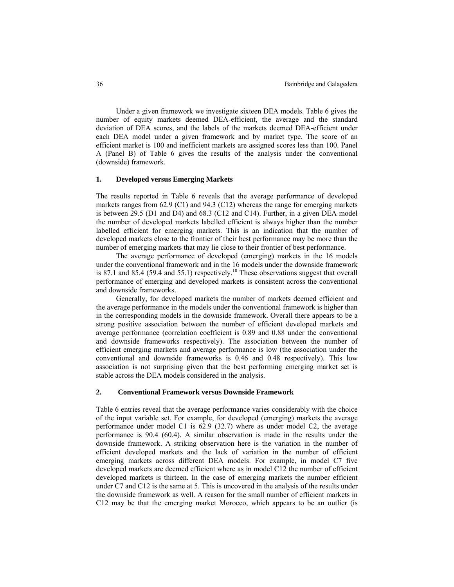Under a given framework we investigate sixteen DEA models. Table 6 gives the number of equity markets deemed DEA-efficient, the average and the standard deviation of DEA scores, and the labels of the markets deemed DEA-efficient under each DEA model under a given framework and by market type. The score of an efficient market is 100 and inefficient markets are assigned scores less than 100. Panel A (Panel B) of Table 6 gives the results of the analysis under the conventional (downside) framework.

## **1. Developed versus Emerging Markets**

The results reported in Table 6 reveals that the average performance of developed markets ranges from  $62.9$  (C1) and  $94.3$  (C12) whereas the range for emerging markets is between 29.5 (D1 and D4) and 68.3 (C12 and C14). Further, in a given DEA model the number of developed markets labelled efficient is always higher than the number labelled efficient for emerging markets. This is an indication that the number of developed markets close to the frontier of their best performance may be more than the number of emerging markets that may lie close to their frontier of best performance.

The average performance of developed (emerging) markets in the 16 models under the conventional framework and in the 16 models under the downside framework is 87.1 and 85.4 (59.4 and 55.1) respectively.<sup>10</sup> These observations suggest that overall performance of emerging and developed markets is consistent across the conventional and downside frameworks.

Generally, for developed markets the number of markets deemed efficient and the average performance in the models under the conventional framework is higher than in the corresponding models in the downside framework. Overall there appears to be a strong positive association between the number of efficient developed markets and average performance (correlation coefficient is 0.89 and 0.88 under the conventional and downside frameworks respectively). The association between the number of efficient emerging markets and average performance is low (the association under the conventional and downside frameworks is 0.46 and 0.48 respectively). This low association is not surprising given that the best performing emerging market set is stable across the DEA models considered in the analysis.

## **2. Conventional Framework versus Downside Framework**

Table 6 entries reveal that the average performance varies considerably with the choice of the input variable set. For example, for developed (emerging) markets the average performance under model C1 is 62.9 (32.7) where as under model C2, the average performance is 90.4 (60.4). A similar observation is made in the results under the downside framework. A striking observation here is the variation in the number of efficient developed markets and the lack of variation in the number of efficient emerging markets across different DEA models. For example, in model C7 five developed markets are deemed efficient where as in model C12 the number of efficient developed markets is thirteen. In the case of emerging markets the number efficient under C7 and C12 is the same at 5. This is uncovered in the analysis of the results under the downside framework as well. A reason for the small number of efficient markets in C12 may be that the emerging market Morocco, which appears to be an outlier (is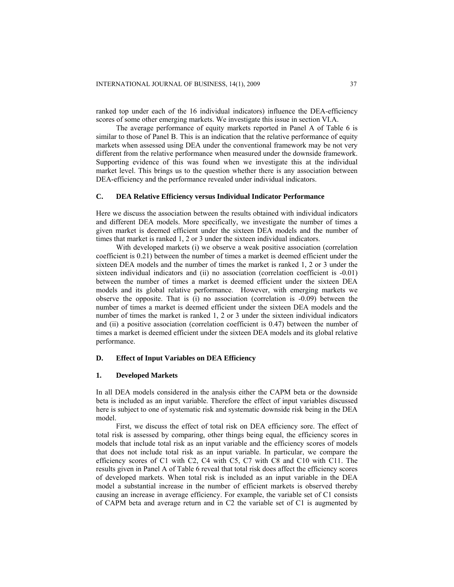ranked top under each of the 16 individual indicators) influence the DEA-efficiency scores of some other emerging markets. We investigate this issue in section VI.A.

The average performance of equity markets reported in Panel A of Table 6 is similar to those of Panel B. This is an indication that the relative performance of equity markets when assessed using DEA under the conventional framework may be not very different from the relative performance when measured under the downside framework. Supporting evidence of this was found when we investigate this at the individual market level. This brings us to the question whether there is any association between DEA-efficiency and the performance revealed under individual indicators.

## **C. DEA Relative Efficiency versus Individual Indicator Performance**

Here we discuss the association between the results obtained with individual indicators and different DEA models. More specifically, we investigate the number of times a given market is deemed efficient under the sixteen DEA models and the number of times that market is ranked 1, 2 or 3 under the sixteen individual indicators.

With developed markets (i) we observe a weak positive association (correlation coefficient is 0.21) between the number of times a market is deemed efficient under the sixteen DEA models and the number of times the market is ranked 1, 2 or 3 under the sixteen individual indicators and (ii) no association (correlation coefficient is -0.01) between the number of times a market is deemed efficient under the sixteen DEA models and its global relative performance. However, with emerging markets we observe the opposite. That is (i) no association (correlation is -0.09) between the number of times a market is deemed efficient under the sixteen DEA models and the number of times the market is ranked 1, 2 or 3 under the sixteen individual indicators and (ii) a positive association (correlation coefficient is 0.47) between the number of times a market is deemed efficient under the sixteen DEA models and its global relative performance.

# **D. Effect of Input Variables on DEA Efficiency**

## **1. Developed Markets**

In all DEA models considered in the analysis either the CAPM beta or the downside beta is included as an input variable. Therefore the effect of input variables discussed here is subject to one of systematic risk and systematic downside risk being in the DEA model.

First, we discuss the effect of total risk on DEA efficiency sore. The effect of total risk is assessed by comparing, other things being equal, the efficiency scores in models that include total risk as an input variable and the efficiency scores of models that does not include total risk as an input variable. In particular, we compare the efficiency scores of C1 with C2, C4 with C5, C7 with C8 and C10 with C11. The results given in Panel A of Table 6 reveal that total risk does affect the efficiency scores of developed markets. When total risk is included as an input variable in the DEA model a substantial increase in the number of efficient markets is observed thereby causing an increase in average efficiency. For example, the variable set of C1 consists of CAPM beta and average return and in C2 the variable set of C1 is augmented by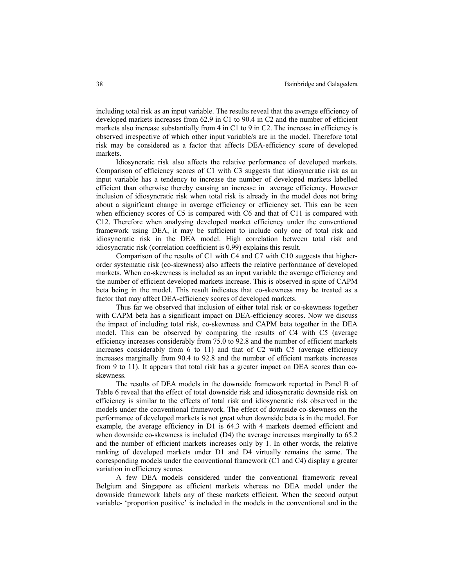including total risk as an input variable. The results reveal that the average efficiency of developed markets increases from 62.9 in C1 to 90.4 in C2 and the number of efficient markets also increase substantially from 4 in C1 to 9 in C2. The increase in efficiency is observed irrespective of which other input variable/s are in the model. Therefore total risk may be considered as a factor that affects DEA-efficiency score of developed markets.

Idiosyncratic risk also affects the relative performance of developed markets. Comparison of efficiency scores of C1 with C3 suggests that idiosyncratic risk as an input variable has a tendency to increase the number of developed markets labelled efficient than otherwise thereby causing an increase in average efficiency. However inclusion of idiosyncratic risk when total risk is already in the model does not bring about a significant change in average efficiency or efficiency set. This can be seen when efficiency scores of C5 is compared with C6 and that of C11 is compared with C12. Therefore when analysing developed market efficiency under the conventional framework using DEA, it may be sufficient to include only one of total risk and idiosyncratic risk in the DEA model. High correlation between total risk and idiosyncratic risk (correlation coefficient is 0.99) explains this result.

Comparison of the results of C1 with C4 and C7 with C10 suggests that higherorder systematic risk (co-skewness) also affects the relative performance of developed markets. When co-skewness is included as an input variable the average efficiency and the number of efficient developed markets increase. This is observed in spite of CAPM beta being in the model. This result indicates that co-skewness may be treated as a factor that may affect DEA-efficiency scores of developed markets.

Thus far we observed that inclusion of either total risk or co-skewness together with CAPM beta has a significant impact on DEA-efficiency scores. Now we discuss the impact of including total risk, co-skewness and CAPM beta together in the DEA model. This can be observed by comparing the results of C4 with C5 (average efficiency increases considerably from 75.0 to 92.8 and the number of efficient markets increases considerably from  $6$  to  $11$ ) and that of C2 with C5 (average efficiency increases marginally from 90.4 to 92.8 and the number of efficient markets increases from 9 to 11). It appears that total risk has a greater impact on DEA scores than coskewness.

The results of DEA models in the downside framework reported in Panel B of Table 6 reveal that the effect of total downside risk and idiosyncratic downside risk on efficiency is similar to the effects of total risk and idiosyncratic risk observed in the models under the conventional framework. The effect of downside co-skewness on the performance of developed markets is not great when downside beta is in the model. For example, the average efficiency in D1 is 64.3 with 4 markets deemed efficient and when downside co-skewness is included (D4) the average increases marginally to 65.2 and the number of efficient markets increases only by 1. In other words, the relative ranking of developed markets under D1 and D4 virtually remains the same. The corresponding models under the conventional framework (C1 and C4) display a greater variation in efficiency scores.

A few DEA models considered under the conventional framework reveal Belgium and Singapore as efficient markets whereas no DEA model under the downside framework labels any of these markets efficient. When the second output variable- 'proportion positive' is included in the models in the conventional and in the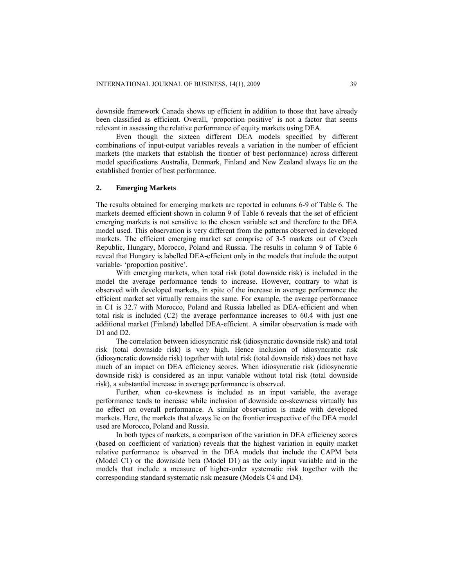downside framework Canada shows up efficient in addition to those that have already been classified as efficient. Overall, 'proportion positive' is not a factor that seems relevant in assessing the relative performance of equity markets using DEA.

Even though the sixteen different DEA models specified by different combinations of input-output variables reveals a variation in the number of efficient markets (the markets that establish the frontier of best performance) across different model specifications Australia, Denmark, Finland and New Zealand always lie on the established frontier of best performance.

## **2. Emerging Markets**

The results obtained for emerging markets are reported in columns 6-9 of Table 6. The markets deemed efficient shown in column 9 of Table 6 reveals that the set of efficient emerging markets is not sensitive to the chosen variable set and therefore to the DEA model used. This observation is very different from the patterns observed in developed markets. The efficient emerging market set comprise of 3-5 markets out of Czech Republic, Hungary, Morocco, Poland and Russia. The results in column 9 of Table 6 reveal that Hungary is labelled DEA-efficient only in the models that include the output variable- 'proportion positive'.

With emerging markets, when total risk (total downside risk) is included in the model the average performance tends to increase. However, contrary to what is observed with developed markets, in spite of the increase in average performance the efficient market set virtually remains the same. For example, the average performance in C1 is 32.7 with Morocco, Poland and Russia labelled as DEA-efficient and when total risk is included (C2) the average performance increases to 60.4 with just one additional market (Finland) labelled DEA-efficient. A similar observation is made with D1 and D2.

The correlation between idiosyncratic risk (idiosyncratic downside risk) and total risk (total downside risk) is very high. Hence inclusion of idiosyncratic risk (idiosyncratic downside risk) together with total risk (total downside risk) does not have much of an impact on DEA efficiency scores. When idiosyncratic risk (idiosyncratic downside risk) is considered as an input variable without total risk (total downside risk), a substantial increase in average performance is observed.

Further, when co-skewness is included as an input variable, the average performance tends to increase while inclusion of downside co-skewness virtually has no effect on overall performance. A similar observation is made with developed markets. Here, the markets that always lie on the frontier irrespective of the DEA model used are Morocco, Poland and Russia.

In both types of markets, a comparison of the variation in DEA efficiency scores (based on coefficient of variation) reveals that the highest variation in equity market relative performance is observed in the DEA models that include the CAPM beta (Model C1) or the downside beta (Model D1) as the only input variable and in the models that include a measure of higher-order systematic risk together with the corresponding standard systematic risk measure (Models C4 and D4).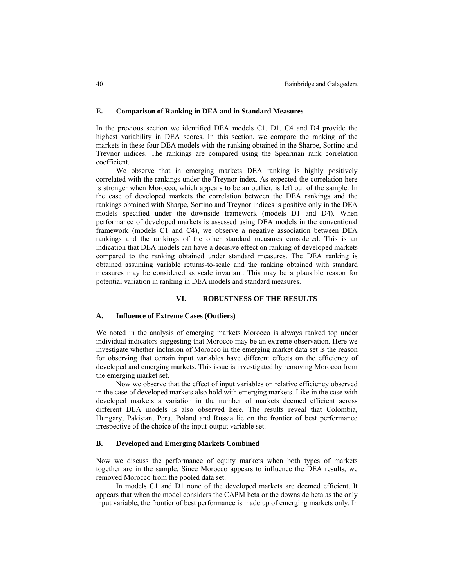## **E. Comparison of Ranking in DEA and in Standard Measures**

In the previous section we identified DEA models C1, D1, C4 and D4 provide the highest variability in DEA scores. In this section, we compare the ranking of the markets in these four DEA models with the ranking obtained in the Sharpe, Sortino and Treynor indices. The rankings are compared using the Spearman rank correlation coefficient.

We observe that in emerging markets DEA ranking is highly positively correlated with the rankings under the Treynor index. As expected the correlation here is stronger when Morocco, which appears to be an outlier, is left out of the sample. In the case of developed markets the correlation between the DEA rankings and the rankings obtained with Sharpe, Sortino and Treynor indices is positive only in the DEA models specified under the downside framework (models D1 and D4). When performance of developed markets is assessed using DEA models in the conventional framework (models C1 and C4), we observe a negative association between DEA rankings and the rankings of the other standard measures considered. This is an indication that DEA models can have a decisive effect on ranking of developed markets compared to the ranking obtained under standard measures. The DEA ranking is obtained assuming variable returns-to-scale and the ranking obtained with standard measures may be considered as scale invariant. This may be a plausible reason for potential variation in ranking in DEA models and standard measures.

#### **VI. ROBUSTNESS OF THE RESULTS**

## **A. Influence of Extreme Cases (Outliers)**

We noted in the analysis of emerging markets Morocco is always ranked top under individual indicators suggesting that Morocco may be an extreme observation. Here we investigate whether inclusion of Morocco in the emerging market data set is the reason for observing that certain input variables have different effects on the efficiency of developed and emerging markets. This issue is investigated by removing Morocco from the emerging market set.

Now we observe that the effect of input variables on relative efficiency observed in the case of developed markets also hold with emerging markets. Like in the case with developed markets a variation in the number of markets deemed efficient across different DEA models is also observed here. The results reveal that Colombia, Hungary, Pakistan, Peru, Poland and Russia lie on the frontier of best performance irrespective of the choice of the input-output variable set.

### **B. Developed and Emerging Markets Combined**

Now we discuss the performance of equity markets when both types of markets together are in the sample. Since Morocco appears to influence the DEA results, we removed Morocco from the pooled data set.

In models C1 and D1 none of the developed markets are deemed efficient. It appears that when the model considers the CAPM beta or the downside beta as the only input variable, the frontier of best performance is made up of emerging markets only. In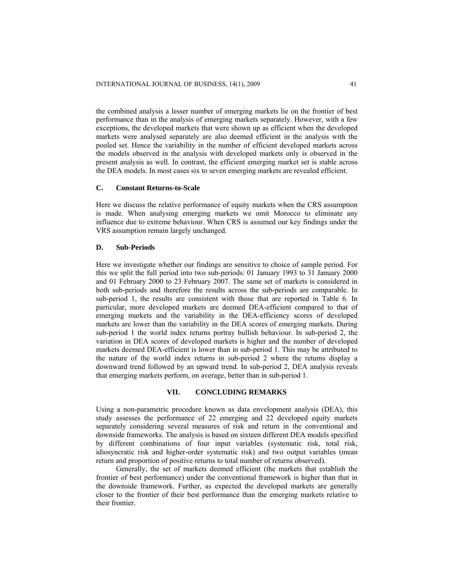the combined analysis a lesser number of emerging markets lie on the frontier of best performance than in the analysis of emerging markets separately. However, with a few exceptions, the developed markets that were shown up as efficient when the developed markets were analysed separately are also deemed efficient in the analysis with the pooled set. Hence the variability in the number of efficient developed markets across the models observed in the analysis with developed markets only is observed in the present analysis as well. In contrast, the efficient emerging market set is stable across the DEA models. In most cases six to seven emerging markets are revealed efficient.

# **C. Constant Returns-to-Scale**

Here we discuss the relative performance of equity markets when the CRS assumption is made. When analysing emerging markets we omit Morocco to eliminate any influence due to extreme behaviour. When CRS is assumed our key findings under the VRS assumption remain largely unchanged.

#### **D. Sub-Periods**

Here we investigate whether our findings are sensitive to choice of sample period. For this we split the full period into two sub-periods: 01 January 1993 to 31 January 2000 and 01 February 2000 to 23 February 2007. The same set of markets is considered in both sub-periods and therefore the results across the sub-periods are comparable. In sub-period 1, the results are consistent with those that are reported in Table 6. In particular, more developed markets are deemed DEA-efficient compared to that of emerging markets and the variability in the DEA-efficiency scores of developed markets are lower than the variability in the DEA scores of emerging markets. During sub-period 1 the world index returns portray bullish behaviour. In sub-period 2, the variation in DEA scores of developed markets is higher and the number of developed markets deemed DEA-efficient is lower than in sub-period 1. This may be attributed to the nature of the world index returns in sub-period 2 where the returns display a downward trend followed by an upward trend. In sub-period 2, DEA analysis reveals that emerging markets perform, on average, better than in sub-period 1.

## **VII. CONCLUDING REMARKS**

Using a non-parametric procedure known as data envelopment analysis (DEA), this study assesses the performance of 22 emerging and 22 developed equity markets separately considering several measures of risk and return in the conventional and downside frameworks. The analysis is based on sixteen different DEA models specified by different combinations of four input variables (systematic risk, total risk, idiosyncratic risk and higher-order systematic risk) and two output variables (mean return and proportion of positive returns to total number of returns observed).

Generally, the set of markets deemed efficient (the markets that establish the frontier of best performance) under the conventional framework is higher than that in the downside framework. Further, as expected the developed markets are generally closer to the frontier of their best performance than the emerging markets relative to their frontier.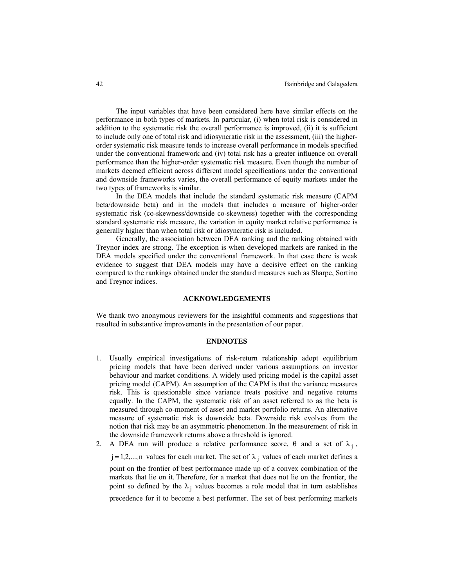The input variables that have been considered here have similar effects on the performance in both types of markets. In particular, (i) when total risk is considered in addition to the systematic risk the overall performance is improved, (ii) it is sufficient to include only one of total risk and idiosyncratic risk in the assessment, (iii) the higherorder systematic risk measure tends to increase overall performance in models specified under the conventional framework and (iv) total risk has a greater influence on overall performance than the higher-order systematic risk measure. Even though the number of markets deemed efficient across different model specifications under the conventional and downside frameworks varies, the overall performance of equity markets under the two types of frameworks is similar.

In the DEA models that include the standard systematic risk measure (CAPM beta/downside beta) and in the models that includes a measure of higher-order systematic risk (co-skewness/downside co-skewness) together with the corresponding standard systematic risk measure, the variation in equity market relative performance is generally higher than when total risk or idiosyncratic risk is included.

Generally, the association between DEA ranking and the ranking obtained with Treynor index are strong. The exception is when developed markets are ranked in the DEA models specified under the conventional framework. In that case there is weak evidence to suggest that DEA models may have a decisive effect on the ranking compared to the rankings obtained under the standard measures such as Sharpe, Sortino and Treynor indices.

#### **ACKNOWLEDGEMENTS**

We thank two anonymous reviewers for the insightful comments and suggestions that resulted in substantive improvements in the presentation of our paper.

#### **ENDNOTES**

1. Usually empirical investigations of risk-return relationship adopt equilibrium pricing models that have been derived under various assumptions on investor behaviour and market conditions. A widely used pricing model is the capital asset pricing model (CAPM). An assumption of the CAPM is that the variance measures risk. This is questionable since variance treats positive and negative returns equally. In the CAPM, the systematic risk of an asset referred to as the beta is measured through co-moment of asset and market portfolio returns. An alternative measure of systematic risk is downside beta. Downside risk evolves from the notion that risk may be an asymmetric phenomenon. In the measurement of risk in the downside framework returns above a threshold is ignored.

2. A DEA run will produce a relative performance score,  $\theta$  and a set of  $\lambda_j$ ,  $j = 1, 2, \dots, n$  values for each market. The set of  $\lambda_j$  values of each market defines a point on the frontier of best performance made up of a convex combination of the markets that lie on it. Therefore, for a market that does not lie on the frontier, the point so defined by the  $\lambda_i$  values becomes a role model that in turn establishes precedence for it to become a best performer. The set of best performing markets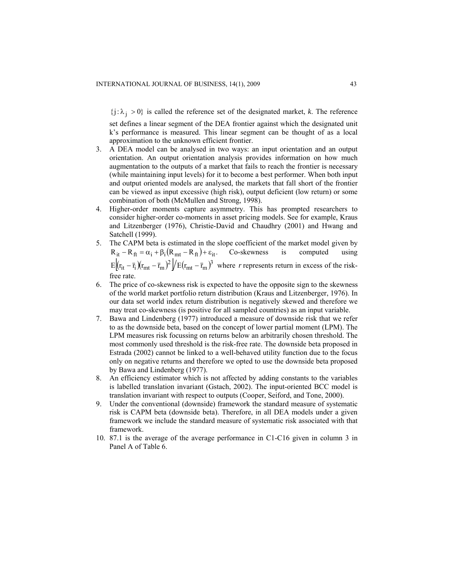${j : \lambda_j > 0}$  is called the reference set of the designated market, *k*. The reference

set defines a linear segment of the DEA frontier against which the designated unit k's performance is measured. This linear segment can be thought of as a local approximation to the unknown efficient frontier.

- 3. A DEA model can be analysed in two ways: an input orientation and an output orientation. An output orientation analysis provides information on how much augmentation to the outputs of a market that fails to reach the frontier is necessary (while maintaining input levels) for it to become a best performer. When both input and output oriented models are analysed, the markets that fall short of the frontier can be viewed as input excessive (high risk), output deficient (low return) or some combination of both (McMullen and Strong, 1998).
- 4. Higher-order moments capture asymmetry. This has prompted researchers to consider higher-order co-moments in asset pricing models. See for example, Kraus and Litzenberger (1976), Christie-David and Chaudhry (2001) and Hwang and Satchell (1999).
- 5. The CAPM beta is estimated in the slope coefficient of the market model given by  $R_{it} - R_{ft} = \alpha_i + \beta_i (R_{mt} - R_{ft}) + \varepsilon_{it}$ . Co-skewness is computed using  $E[(r_{it} - \bar{r}_i)(r_{mt} - \bar{r}_m)^2]/E(r_{mt} - \bar{r}_m)^3$  where *r* represents return in excess of the riskfree rate.
- 6. The price of co-skewness risk is expected to have the opposite sign to the skewness of the world market portfolio return distribution (Kraus and Litzenberger, 1976). In our data set world index return distribution is negatively skewed and therefore we may treat co-skewness (is positive for all sampled countries) as an input variable.
- 7. Bawa and Lindenberg (1977) introduced a measure of downside risk that we refer to as the downside beta, based on the concept of lower partial moment (LPM). The LPM measures risk focussing on returns below an arbitrarily chosen threshold. The most commonly used threshold is the risk-free rate. The downside beta proposed in Estrada (2002) cannot be linked to a well-behaved utility function due to the focus only on negative returns and therefore we opted to use the downside beta proposed by Bawa and Lindenberg (1977).
- 8. An efficiency estimator which is not affected by adding constants to the variables is labelled translation invariant (Gstach, 2002). The input-oriented BCC model is translation invariant with respect to outputs (Cooper, Seiford, and Tone, 2000).
- 9. Under the conventional (downside) framework the standard measure of systematic risk is CAPM beta (downside beta). Therefore, in all DEA models under a given framework we include the standard measure of systematic risk associated with that framework.
- 10. 87.1 is the average of the average performance in C1-C16 given in column 3 in Panel A of Table 6.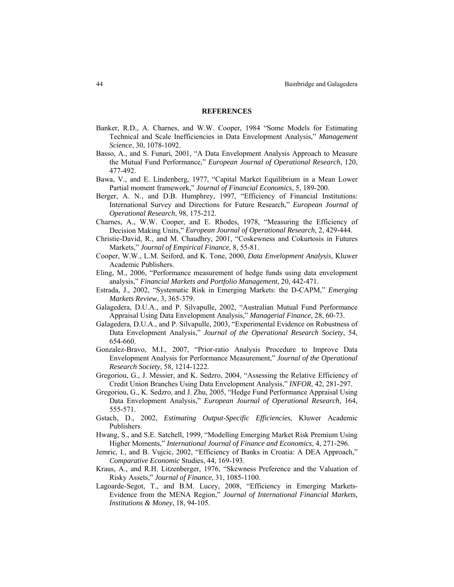#### **REFERENCES**

- Banker, R.D., A. Charnes, and W.W. Cooper, 1984 "Some Models for Estimating Technical and Scale Inefficiencies in Data Envelopment Analysis," *Management Science*, 30, 1078-1092.
- Basso, A., and S. Funari, 2001, "A Data Envelopment Analysis Approach to Measure the Mutual Fund Performance," *European Journal of Operational Research*, 120, 477-492.
- Bawa, V., and E. Lindenberg, 1977, "Capital Market Equilibrium in a Mean Lower Partial moment framework," *Journal of Financial Economics*, 5, 189-200.
- Berger, A. N., and D.B. Humphrey, 1997, "Efficiency of Financial Institutions: International Survey and Directions for Future Research," *European Journal of Operational Research*, 98, 175-212.
- Charnes, A., W.W. Cooper, and E. Rhodes, 1978, "Measuring the Efficiency of Decision Making Units," *European Journal of Operational Research*, 2, 429-444.
- Christie-David, R., and M. Chaudhry, 2001, "Coskewness and Cokurtosis in Futures Markets," *Journal of Empirical Finance*, 8, 55-81.
- Cooper, W.W., L.M. Seiford, and K. Tone, 2000, *Data Envelopment Analysis*, Kluwer Academic Publishers.
- Eling, M., 2006, "Performance measurement of hedge funds using data envelopment analysis," *Financial Markets and Portfolio Management*, 20, 442-471.
- Estrada, J., 2002, "Systematic Risk in Emerging Markets: the D-CAPM," *Emerging Markets Review*, 3, 365-379.
- Galagedera, D.U.A., and P. Silvapulle, 2002, "Australian Mutual Fund Performance Appraisal Using Data Envelopment Analysis," *Managerial Finance*, 28, 60-73.
- Galagedera, D.U.A., and P. Silvapulle, 2003, "Experimental Evidence on Robustness of Data Envelopment Analysis," *Journal of the Operational Research Society*, 54, 654-660.
- Gonzalez-Bravo, M.I., 2007, "Prior-ratio Analysis Procedure to Improve Data Envelopment Analysis for Performance Measurement," *Journal of the Operational Research Society*, 58, 1214-1222.
- Gregoriou, G., J. Messier, and K. Sedzro, 2004, "Assessing the Relative Efficiency of Credit Union Branches Using Data Envelopment Analysis," *INFOR*, 42, 281-297.
- Gregoriou, G., K. Sedzro, and J. Zhu, 2005, "Hedge Fund Performance Appraisal Using Data Envelopment Analysis," *European Journal of Operational Research*, 164, 555-571.
- [Gstach,](http://librariesaustralia.nla.gov.au/apps/kss?action=Search&mode=advsearch&type=fullview&relation1=exact+match&target=freenbd&index1=Author&term1=Gstach%2C+Dieter.) D., 2002, *Estimating Output-Specific Efficiencies*, Kluwer Academic Publishers.
- Hwang, S., and S.E. Satchell, 1999, "Modelling Emerging Market Risk Premium Using Higher Moments," *International Journal of Finance and Economics*, 4, 271-296.
- Jemric, I., and B. Vujcic, 2002, "Efficiency of Banks in Croatia: A DEA Approach," *Comparative Economic* Studies, 44, 169-193.
- Kraus, A., and R.H. Litzenberger, 1976, "Skewness Preference and the Valuation of Risky Assets," *Journal of Finance*, 31, 1085-1100.
- Lagoarde-Segot, T., and B.M. Lucey, 2008, "Efficiency in Emerging Markets-Evidence from the MENA Region," *Journal of International Financial Markets, Institutions & Money*, 18, 94-105.